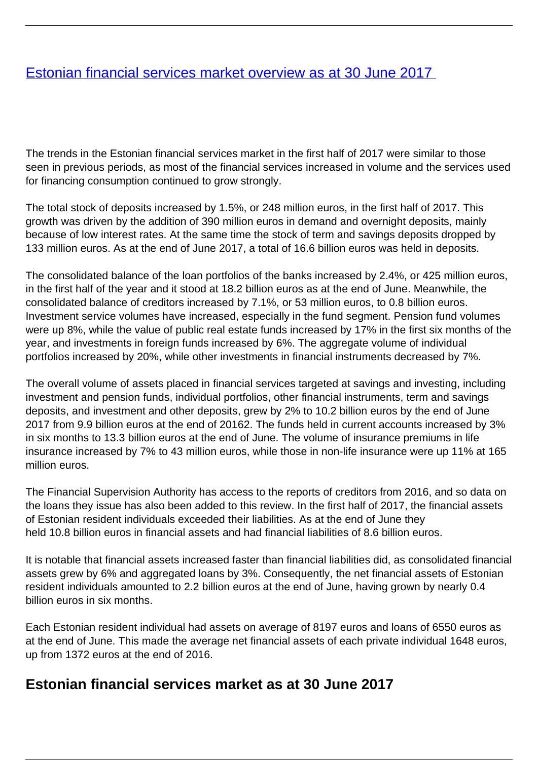## <span id="page-0-0"></span>[Estonian financial services market overview as at 30 June 2017](/en/finantsinspektsioon/finantsinspektsioonist/publikatsioonid/publikatsioon/eesti-finantsteenuste-turg-30-juuni-2017-seisuga)

The trends in the Estonian financial services market in the first half of 2017 were similar to those seen in previous periods, as most of the financial services increased in volume and the services used for financing consumption continued to grow strongly.

The total stock of deposits increased by 1.5%, or 248 million euros, in the first half of 2017. This growth was driven by the addition of 390 million euros in demand and overnight deposits, mainly because of low interest rates. At the same time the stock of term and savings deposits dropped by 133 million euros. As at the end of June 2017, a total of 16.6 billion euros was held in deposits.

The consolidated balance of the loan portfolios of the banks increased by 2.4%, or 425 million euros, in the first half of the year and it stood at 18.2 billion euros as at the end of June. Meanwhile, the consolidated balance of creditors increased by 7.1%, or 53 million euros, to 0.8 billion euros. Investment service volumes have increased, especially in the fund segment. Pension fund volumes were up 8%, while the value of public real estate funds increased by 17% in the first six months of the year, and investments in foreign funds increased by 6%. The aggregate volume of individual portfolios increased by 20%, while other investments in financial instruments decreased by 7%.

The overall volume of assets placed in financial services targeted at savings and investing, including investment and pension funds, individual portfolios, other financial instruments, term and savings deposits, and investment and other deposits, grew by 2% to 10.2 billion euros by the end of June 2017 from 9.9 billion euros at the end of 20162. The funds held in current accounts increased by 3% in six months to 13.3 billion euros at the end of June. The volume of insurance premiums in life insurance increased by 7% to 43 million euros, while those in non-life insurance were up 11% at 165 million euros.

The Financial Supervision Authority has access to the reports of creditors from 2016, and so data on the loans they issue has also been added to this review. In the first half of 2017, the financial assets of Estonian resident individuals exceeded their liabilities. As at the end of June they held 10.8 billion euros in financial assets and had financial liabilities of 8.6 billion euros.

It is notable that financial assets increased faster than financial liabilities did, as consolidated financial assets grew by 6% and aggregated loans by 3%. Consequently, the net financial assets of Estonian resident individuals amounted to 2.2 billion euros at the end of June, having grown by nearly 0.4 billion euros in six months.

Each Estonian resident individual had assets on average of 8197 euros and loans of 6550 euros as at the end of June. This made the average net financial assets of each private individual 1648 euros, up from 1372 euros at the end of 2016.

## **Estonian financial services market as at 30 June 2017**